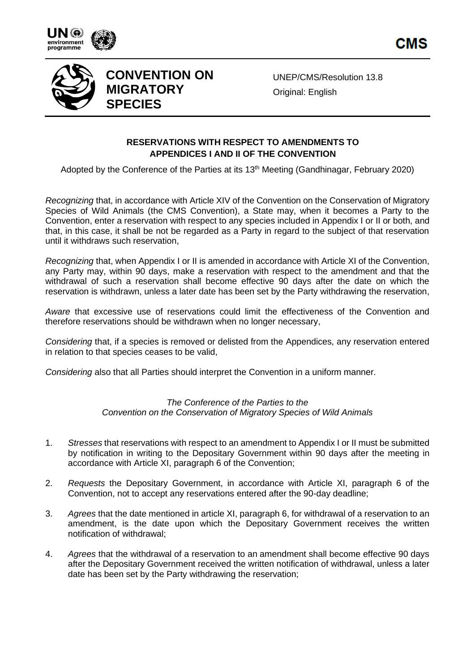



## **CONVENTION ON MIGRATORY SPECIES**

UNEP/CMS/Resolution 13.8 **Original: English** 

## **RESERVATIONS WITH RESPECT TO AMENDMENTS TO APPENDICES I AND II OF THE CONVENTION**

Adopted by the Conference of the Parties at its 13<sup>th</sup> Meeting (Gandhinagar, February 2020)

*Recognizing* that, in accordance with Article XIV of the Convention on the Conservation of Migratory Species of Wild Animals (the CMS Convention), a State may, when it becomes a Party to the Convention, enter a reservation with respect to any species included in Appendix I or II or both, and that, in this case, it shall be not be regarded as a Party in regard to the subject of that reservation until it withdraws such reservation,

*Recognizing* that, when Appendix I or II is amended in accordance with Article XI of the Convention, any Party may, within 90 days, make a reservation with respect to the amendment and that the withdrawal of such a reservation shall become effective 90 days after the date on which the reservation is withdrawn, unless a later date has been set by the Party withdrawing the reservation,

*Aware* that excessive use of reservations could limit the effectiveness of the Convention and therefore reservations should be withdrawn when no longer necessary,

*Considering* that, if a species is removed or delisted from the Appendices, any reservation entered in relation to that species ceases to be valid,

*Considering* also that all Parties should interpret the Convention in a uniform manner.

## *The Conference of the Parties to the Convention on the Conservation of Migratory Species of Wild Animals*

- 1. *Stresses* that reservations with respect to an amendment to Appendix I or II must be submitted by notification in writing to the Depositary Government within 90 days after the meeting in accordance with Article XI, paragraph 6 of the Convention;
- 2. *Requests* the Depositary Government, in accordance with Article XI, paragraph 6 of the Convention, not to accept any reservations entered after the 90-day deadline;
- 3. *Agrees* that the date mentioned in article XI, paragraph 6, for withdrawal of a reservation to an amendment, is the date upon which the Depositary Government receives the written notification of withdrawal;
- 4. *Agrees* that the withdrawal of a reservation to an amendment shall become effective 90 days after the Depositary Government received the written notification of withdrawal, unless a later date has been set by the Party withdrawing the reservation;